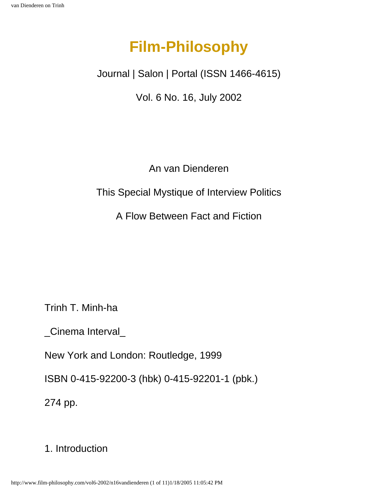# **Film-Philosophy**

Journal | Salon | Portal (ISSN 1466-4615)

Vol. 6 No. 16, July 2002

An van Dienderen

This Special Mystique of Interview Politics

A Flow Between Fact and Fiction

Trinh T. Minh-ha

\_Cinema Interval\_

New York and London: Routledge, 1999

ISBN 0-415-92200-3 (hbk) 0-415-92201-1 (pbk.)

274 pp.

## 1. Introduction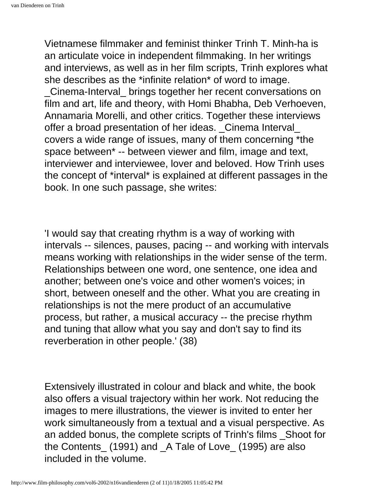Vietnamese filmmaker and feminist thinker Trinh T. Minh-ha is an articulate voice in independent filmmaking. In her writings and interviews, as well as in her film scripts, Trinh explores what she describes as the \*infinite relation\* of word to image. \_Cinema-Interval\_ brings together her recent conversations on film and art, life and theory, with Homi Bhabha, Deb Verhoeven, Annamaria Morelli, and other critics. Together these interviews offer a broad presentation of her ideas. \_Cinema Interval\_ covers a wide range of issues, many of them concerning \*the space between\* -- between viewer and film, image and text, interviewer and interviewee, lover and beloved. How Trinh uses the concept of \*interval\* is explained at different passages in the book. In one such passage, she writes:

'I would say that creating rhythm is a way of working with intervals -- silences, pauses, pacing -- and working with intervals means working with relationships in the wider sense of the term. Relationships between one word, one sentence, one idea and another; between one's voice and other women's voices; in short, between oneself and the other. What you are creating in relationships is not the mere product of an accumulative process, but rather, a musical accuracy -- the precise rhythm and tuning that allow what you say and don't say to find its reverberation in other people.' (38)

Extensively illustrated in colour and black and white, the book also offers a visual trajectory within her work. Not reducing the images to mere illustrations, the viewer is invited to enter her work simultaneously from a textual and a visual perspective. As an added bonus, the complete scripts of Trinh's films \_Shoot for the Contents\_ (1991) and \_A Tale of Love\_ (1995) are also included in the volume.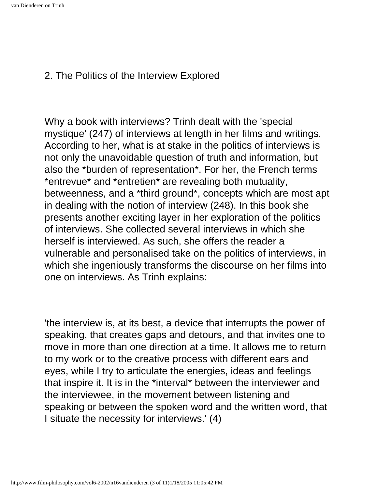#### 2. The Politics of the Interview Explored

Why a book with interviews? Trinh dealt with the 'special mystique' (247) of interviews at length in her films and writings. According to her, what is at stake in the politics of interviews is not only the unavoidable question of truth and information, but also the \*burden of representation\*. For her, the French terms \*entrevue\* and \*entretien\* are revealing both mutuality, betweenness, and a \*third ground\*, concepts which are most apt in dealing with the notion of interview (248). In this book she presents another exciting layer in her exploration of the politics of interviews. She collected several interviews in which she herself is interviewed. As such, she offers the reader a vulnerable and personalised take on the politics of interviews, in which she ingeniously transforms the discourse on her films into one on interviews. As Trinh explains:

'the interview is, at its best, a device that interrupts the power of speaking, that creates gaps and detours, and that invites one to move in more than one direction at a time. It allows me to return to my work or to the creative process with different ears and eyes, while I try to articulate the energies, ideas and feelings that inspire it. It is in the \*interval\* between the interviewer and the interviewee, in the movement between listening and speaking or between the spoken word and the written word, that I situate the necessity for interviews.' (4)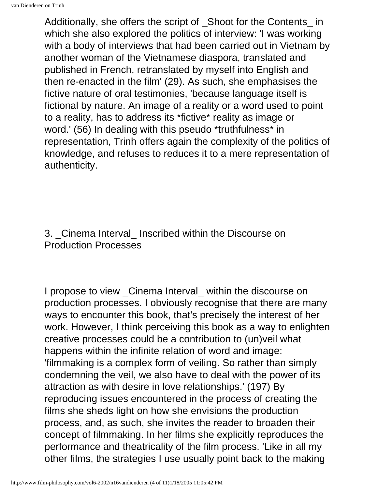Additionally, she offers the script of Shoot for the Contents in which she also explored the politics of interview: 'I was working with a body of interviews that had been carried out in Vietnam by another woman of the Vietnamese diaspora, translated and published in French, retranslated by myself into English and then re-enacted in the film' (29). As such, she emphasises the fictive nature of oral testimonies, 'because language itself is fictional by nature. An image of a reality or a word used to point to a reality, has to address its \*fictive\* reality as image or word.' (56) In dealing with this pseudo \*truthfulness\* in representation, Trinh offers again the complexity of the politics of knowledge, and refuses to reduces it to a mere representation of authenticity.

### 3. Cinema Interval Inscribed within the Discourse on Production Processes

I propose to view Cinema Interval within the discourse on production processes. I obviously recognise that there are many ways to encounter this book, that's precisely the interest of her work. However, I think perceiving this book as a way to enlighten creative processes could be a contribution to (un)veil what happens within the infinite relation of word and image: 'filmmaking is a complex form of veiling. So rather than simply condemning the veil, we also have to deal with the power of its attraction as with desire in love relationships.' (197) By reproducing issues encountered in the process of creating the films she sheds light on how she envisions the production process, and, as such, she invites the reader to broaden their concept of filmmaking. In her films she explicitly reproduces the performance and theatricality of the film process. 'Like in all my other films, the strategies I use usually point back to the making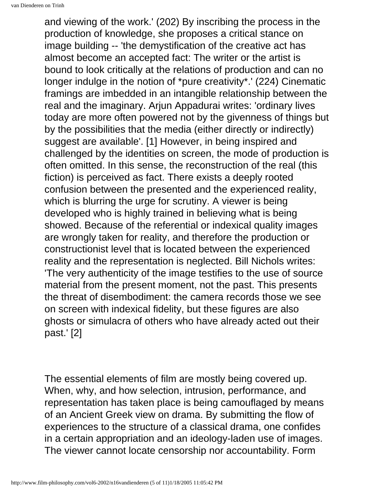and viewing of the work.' (202) By inscribing the process in the production of knowledge, she proposes a critical stance on image building -- 'the demystification of the creative act has almost become an accepted fact: The writer or the artist is bound to look critically at the relations of production and can no longer indulge in the notion of \*pure creativity\*.' (224) Cinematic framings are imbedded in an intangible relationship between the real and the imaginary. Arjun Appadurai writes: 'ordinary lives today are more often powered not by the givenness of things but by the possibilities that the media (either directly or indirectly) suggest are available'. [1] However, in being inspired and challenged by the identities on screen, the mode of production is often omitted. In this sense, the reconstruction of the real (this fiction) is perceived as fact. There exists a deeply rooted confusion between the presented and the experienced reality, which is blurring the urge for scrutiny. A viewer is being developed who is highly trained in believing what is being showed. Because of the referential or indexical quality images are wrongly taken for reality, and therefore the production or constructionist level that is located between the experienced reality and the representation is neglected. Bill Nichols writes: 'The very authenticity of the image testifies to the use of source material from the present moment, not the past. This presents the threat of disembodiment: the camera records those we see on screen with indexical fidelity, but these figures are also ghosts or simulacra of others who have already acted out their past.' [2]

The essential elements of film are mostly being covered up. When, why, and how selection, intrusion, performance, and representation has taken place is being camouflaged by means of an Ancient Greek view on drama. By submitting the flow of experiences to the structure of a classical drama, one confides in a certain appropriation and an ideology-laden use of images. The viewer cannot locate censorship nor accountability. Form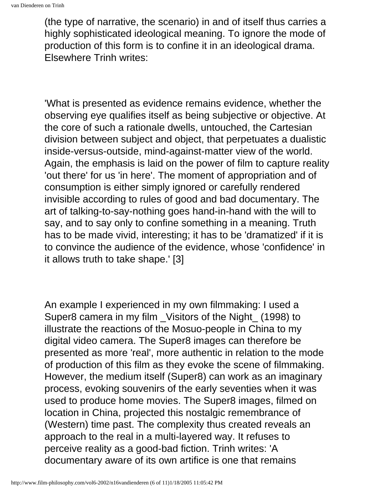(the type of narrative, the scenario) in and of itself thus carries a highly sophisticated ideological meaning. To ignore the mode of production of this form is to confine it in an ideological drama. Elsewhere Trinh writes:

'What is presented as evidence remains evidence, whether the observing eye qualifies itself as being subjective or objective. At the core of such a rationale dwells, untouched, the Cartesian division between subject and object, that perpetuates a dualistic inside-versus-outside, mind-against-matter view of the world. Again, the emphasis is laid on the power of film to capture reality 'out there' for us 'in here'. The moment of appropriation and of consumption is either simply ignored or carefully rendered invisible according to rules of good and bad documentary. The art of talking-to-say-nothing goes hand-in-hand with the will to say, and to say only to confine something in a meaning. Truth has to be made vivid, interesting; it has to be 'dramatized' if it is to convince the audience of the evidence, whose 'confidence' in it allows truth to take shape.' [3]

An example I experienced in my own filmmaking: I used a Super8 camera in my film \_Visitors of the Night\_ (1998) to illustrate the reactions of the Mosuo-people in China to my digital video camera. The Super8 images can therefore be presented as more 'real', more authentic in relation to the mode of production of this film as they evoke the scene of filmmaking. However, the medium itself (Super8) can work as an imaginary process, evoking souvenirs of the early seventies when it was used to produce home movies. The Super8 images, filmed on location in China, projected this nostalgic remembrance of (Western) time past. The complexity thus created reveals an approach to the real in a multi-layered way. It refuses to perceive reality as a good-bad fiction. Trinh writes: 'A documentary aware of its own artifice is one that remains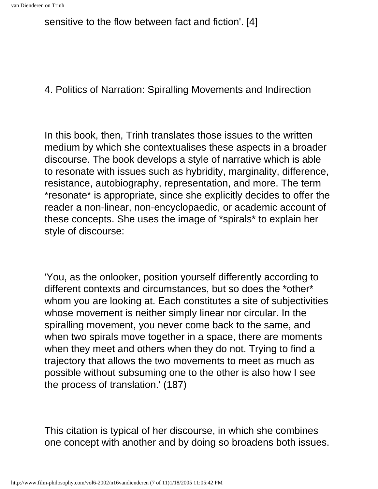sensitive to the flow between fact and fiction'. [4]

### 4. Politics of Narration: Spiralling Movements and Indirection

In this book, then, Trinh translates those issues to the written medium by which she contextualises these aspects in a broader discourse. The book develops a style of narrative which is able to resonate with issues such as hybridity, marginality, difference, resistance, autobiography, representation, and more. The term \*resonate\* is appropriate, since she explicitly decides to offer the reader a non-linear, non-encyclopaedic, or academic account of these concepts. She uses the image of \*spirals\* to explain her style of discourse:

'You, as the onlooker, position yourself differently according to different contexts and circumstances, but so does the \*other\* whom you are looking at. Each constitutes a site of subjectivities whose movement is neither simply linear nor circular. In the spiralling movement, you never come back to the same, and when two spirals move together in a space, there are moments when they meet and others when they do not. Trying to find a trajectory that allows the two movements to meet as much as possible without subsuming one to the other is also how I see the process of translation.' (187)

This citation is typical of her discourse, in which she combines one concept with another and by doing so broadens both issues.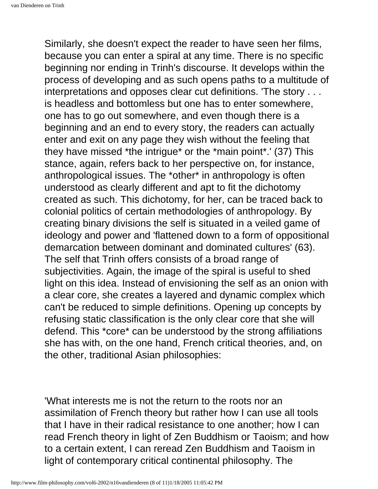Similarly, she doesn't expect the reader to have seen her films, because you can enter a spiral at any time. There is no specific beginning nor ending in Trinh's discourse. It develops within the process of developing and as such opens paths to a multitude of interpretations and opposes clear cut definitions. 'The story . . . is headless and bottomless but one has to enter somewhere, one has to go out somewhere, and even though there is a beginning and an end to every story, the readers can actually enter and exit on any page they wish without the feeling that they have missed \*the intrigue\* or the \*main point\*.' (37) This stance, again, refers back to her perspective on, for instance, anthropological issues. The \*other\* in anthropology is often understood as clearly different and apt to fit the dichotomy created as such. This dichotomy, for her, can be traced back to colonial politics of certain methodologies of anthropology. By creating binary divisions the self is situated in a veiled game of ideology and power and 'flattened down to a form of oppositional demarcation between dominant and dominated cultures' (63). The self that Trinh offers consists of a broad range of subjectivities. Again, the image of the spiral is useful to shed light on this idea. Instead of envisioning the self as an onion with a clear core, she creates a layered and dynamic complex which can't be reduced to simple definitions. Opening up concepts by refusing static classification is the only clear core that she will defend. This \*core\* can be understood by the strong affiliations she has with, on the one hand, French critical theories, and, on the other, traditional Asian philosophies:

'What interests me is not the return to the roots nor an assimilation of French theory but rather how I can use all tools that I have in their radical resistance to one another; how I can read French theory in light of Zen Buddhism or Taoism; and how to a certain extent, I can reread Zen Buddhism and Taoism in light of contemporary critical continental philosophy. The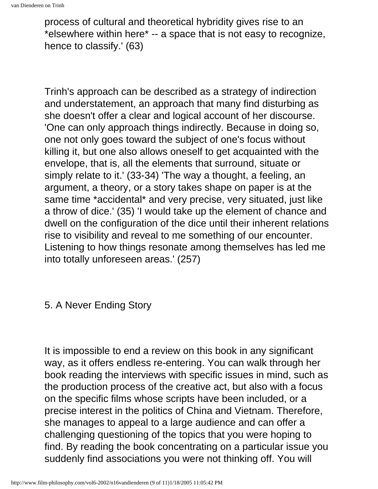process of cultural and theoretical hybridity gives rise to an \*elsewhere within here\* -- a space that is not easy to recognize, hence to classify.' (63)

Trinh's approach can be described as a strategy of indirection and understatement, an approach that many find disturbing as she doesn't offer a clear and logical account of her discourse. 'One can only approach things indirectly. Because in doing so, one not only goes toward the subject of one's focus without killing it, but one also allows oneself to get acquainted with the envelope, that is, all the elements that surround, situate or simply relate to it.' (33-34) 'The way a thought, a feeling, an argument, a theory, or a story takes shape on paper is at the same time \*accidental\* and very precise, very situated, just like a throw of dice.' (35) 'I would take up the element of chance and dwell on the configuration of the dice until their inherent relations rise to visibility and reveal to me something of our encounter. Listening to how things resonate among themselves has led me into totally unforeseen areas.' (257)

5. A Never Ending Story

It is impossible to end a review on this book in any significant way, as it offers endless re-entering. You can walk through her book reading the interviews with specific issues in mind, such as the production process of the creative act, but also with a focus on the specific films whose scripts have been included, or a precise interest in the politics of China and Vietnam. Therefore, she manages to appeal to a large audience and can offer a challenging questioning of the topics that you were hoping to find. By reading the book concentrating on a particular issue you suddenly find associations you were not thinking off. You will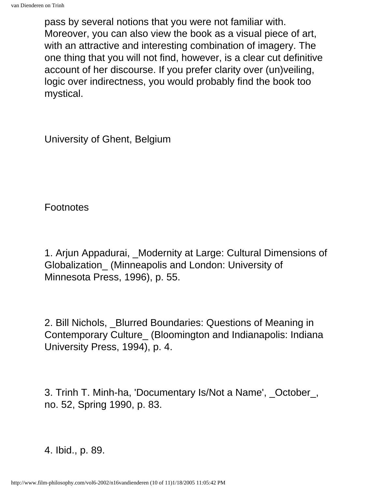pass by several notions that you were not familiar with. Moreover, you can also view the book as a visual piece of art, with an attractive and interesting combination of imagery. The one thing that you will not find, however, is a clear cut definitive account of her discourse. If you prefer clarity over (un)veiling, logic over indirectness, you would probably find the book too mystical.

University of Ghent, Belgium

Footnotes

1. Arjun Appadurai, \_Modernity at Large: Cultural Dimensions of Globalization\_ (Minneapolis and London: University of Minnesota Press, 1996), p. 55.

2. Bill Nichols, Blurred Boundaries: Questions of Meaning in Contemporary Culture\_ (Bloomington and Indianapolis: Indiana University Press, 1994), p. 4.

3. Trinh T. Minh-ha, 'Documentary Is/Not a Name', \_October\_, no. 52, Spring 1990, p. 83.

4. Ibid., p. 89.